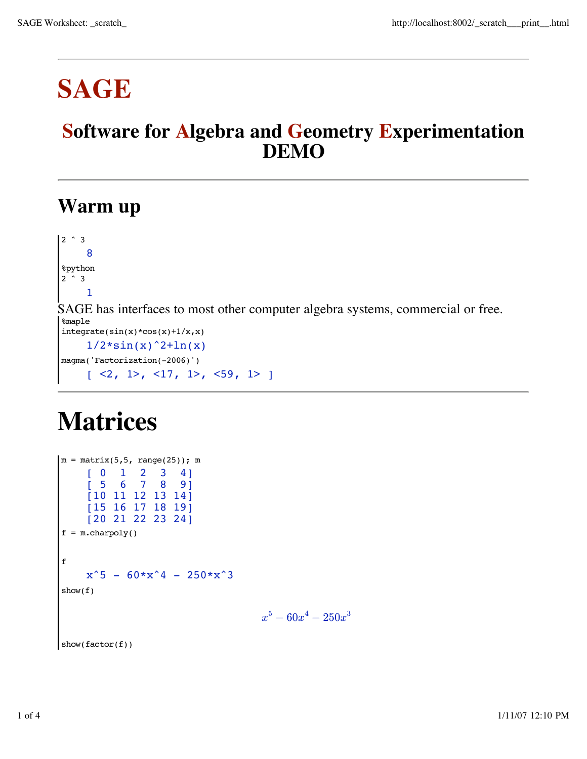## **SAGE**

#### **Software for Algebra and Geometry Experimentation DEMO**

### **Warm up**

```
2^{\circ} 3 8
%python
2^{\circ}3 1
SAGE has interfaces to most other computer algebra systems, commercial or free.
%maple
integrate(sin(x)*cos(x)+1/x,x)1/2 \cdot \sin(x) 2 + \ln(x)magma('Factorization(-2006)')
     [ <2, 1>, <17, 1>, <59, 1> ]
```
# **Matrices**

```
m = matrix(5, 5, range(25)); m
    [ 0 1 2 3 4]
    [ 5 6 7 8 9]
   [10 11 12 13 14]
   [15 16 17 18 19]
   [20 21 22 23 24]
f = m{\text{-}charpoly}()f
   x^5 - 60*x^4 - 250*x^3show(f)
x^5 - 60x^4 - 250x^3show(factor(f))
```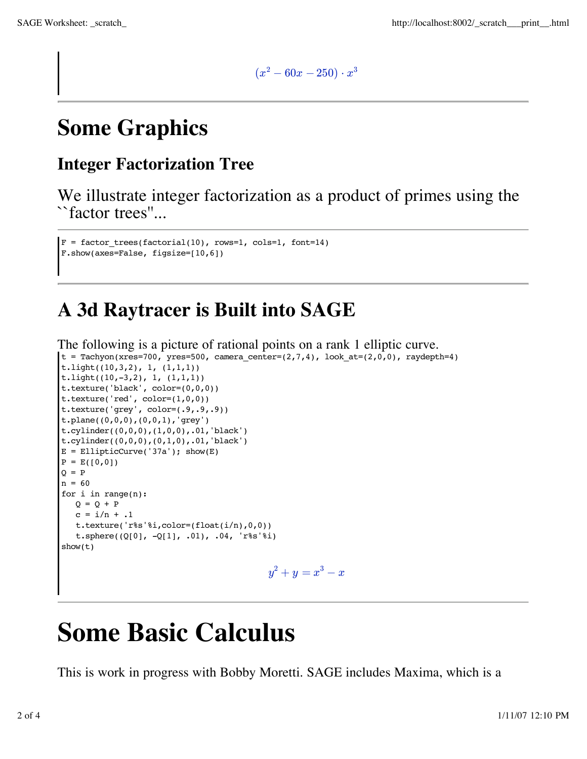$(x^2 - 60x - 250) \cdot x^3$ 

## **Some Graphics**

#### **Integer Factorization Tree**

We illustrate integer factorization as a product of primes using the ``factor trees''...

```
F = factor trees(factorial(10), rows=1, cols=1, font=14)F.show(axes=False, figsize=[10,6])
```
### **A 3d Raytracer is Built into SAGE**

The following is a picture of rational points on a rank 1 elliptic curve. t = Tachyon(xres=700, yres=500, camera center=(2,7,4), look at=(2,0,0), raydepth=4) t.light((10,3,2), 1, (1,1,1)) t.light((10,-3,2), 1, (1,1,1)) t.texture('black', color=(0,0,0)) t.texture('red', color=(1,0,0)) t.texture('grey', color=(.9,.9,.9)) t.plane((0,0,0),(0,0,1),'grey') t.cylinder((0,0,0),(1,0,0),.01,'black') t.cylinder((0,0,0),(0,1,0),.01,'black')  $E = EllipticCurve('37a'); show(E)$  $P = E([0, 0])$  $Q = P$  $n = 60$ for i in range(n):  $Q = Q + P$  $c = i/n + 1$  t.texture('r%s'%i,color=(float(i/n),0,0)) t.sphere( $(Q[0], -Q[1], .01), .04, 'r$ <sup>8</sup>s'%i) show(t) *y*  $y^2 + y = x^3 - x$ 

# **Some Basic Calculus**

This is work in progress with Bobby Moretti. SAGE includes Maxima, which is a